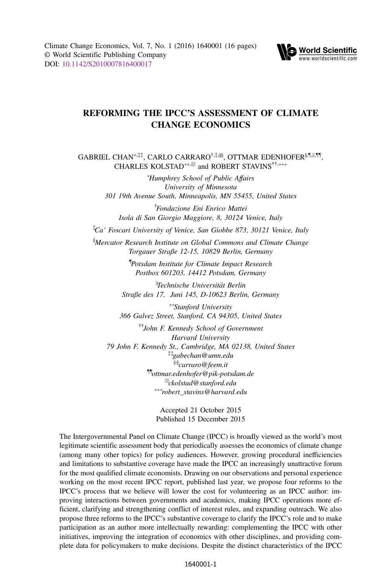

# REFORMING THE IPCC'S ASSESSMENT OF CLIMATE CHANGE ECONOMICS

GABRIEL CHAN\*,<sup>‡‡</sup>, CARLO CARRARO<sup>†,‡,§§</sup>, OTTMAR EDENHOFER<sup>§,¶,||,¶¶</sup>, CHARLES KOLSTAD\*\*,|||| and ROBERT STAVINS<sup>††,\*\*\*</sup>

> \* Humphrey School of Public Affairs University of Minnesota 301 19th Avenue South, Minneapolis, MN 55455, United States

† Fondazione Eni Enrico Mattei Isola di San Giorgio Maggiore, 8, 30124 Venice, Italy

‡ Ca' Foscari University of Venice, San Giobbe 873, 30121 Venice, Italy

§ Mercator Research Institute on Global Commons and Climate Change Torgauer Straße 12-15, 10829 Berlin, Germany

> ¶ Potsdam Institute for Climate Impact Research Postbox 601203, 14412 Potsdam, Germany

||Technische Universitat Berlin € Straße des 17, Juni 145, D-10623 Berlin, Germany

\*\*Stanford University 366 Galvez Street, Stanford, CA 94305, United States

††John F. Kennedy School of Government Harvard University 79 John F. Kennedy St., Cambridge, MA 02138, United States ‡‡gabechan@umn.edu § §carraro@feem.it ¶¶ottmar.edenhofer@pik-potsdam.de  $\mathbb{H}_{ckolstad}$ @stanford.edu \*\*\*robert\_stavins@harvard.edu

> Accepted 21 October 2015 Published 15 December 2015

The Intergovernmental Panel on Climate Change (IPCC) is broadly viewed as the world's most legitimate scientific assessment body that periodically assesses the economics of climate change (among many other topics) for policy audiences. However, growing procedural inefficiencies and limitations to substantive coverage have made the IPCC an increasingly unattractive forum for the most qualified climate economists. Drawing on our observations and personal experience working on the most recent IPCC report, published last year, we propose four reforms to the IPCC's process that we believe will lower the cost for volunteering as an IPCC author: improving interactions between governments and academics, making IPCC operations more efficient, clarifying and strengthening conflict of interest rules, and expanding outreach. We also propose three reforms to the IPCC's substantive coverage to clarify the IPCC's role and to make participation as an author more intellectually rewarding: complementing the IPCC with other initiatives, improving the integration of economics with other disciplines, and providing complete data for policymakers to make decisions. Despite the distinct characteristics of the IPCC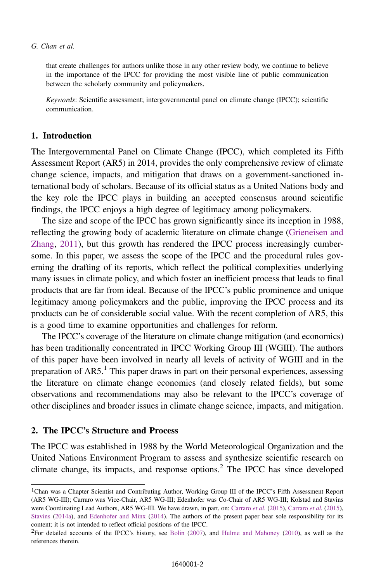#### G. Chan et al.

that create challenges for authors unlike those in any other review body, we continue to believe in the importance of the IPCC for providing the most visible line of public communication between the scholarly community and policymakers.

Keywords: Scientific assessment; intergovernmental panel on climate change (IPCC); scientific communication.

### 1. Introduction

The Intergovernmental Panel on Climate Change (IPCC), which completed its Fifth Assessment Report (AR5) in 2014, provides the only comprehensive review of climate change science, impacts, and mitigation that draws on a government-sanctioned international body of scholars. Because of its official status as a United Nations body and the key role the IPCC plays in building an accepted consensus around scientific findings, the IPCC enjoys a high degree of legitimacy among policymakers.

The size and scope of the IPCC has grown significantly since its inception in 1988, reflecting the growing body of academic literature on climate change [\(Grieneisen and](#page-15-0) [Zhang](#page-15-0), [2011](#page-15-0)), but this growth has rendered the IPCC process increasingly cumbersome. In this paper, we assess the scope of the IPCC and the procedural rules governing the drafting of its reports, which reflect the political complexities underlying many issues in climate policy, and which foster an inefficient process that leads to final products that are far from ideal. Because of the IPCC's public prominence and unique legitimacy among policymakers and the public, improving the IPCC process and its products can be of considerable social value. With the recent completion of AR5, this is a good time to examine opportunities and challenges for reform.

The IPCC's coverage of the literature on climate change mitigation (and economics) has been traditionally concentrated in IPCC Working Group III (WGIII). The authors of this paper have been involved in nearly all levels of activity of WGIII and in the preparation of AR5.<sup>1</sup> This paper draws in part on their personal experiences, assessing the literature on climate change economics (and closely related fields), but some observations and recommendations may also be relevant to the IPCC's coverage of other disciplines and broader issues in climate change science, impacts, and mitigation.

### 2. The IPCC's Structure and Process

The IPCC was established in 1988 by the World Meteorological Organization and the United Nations Environment Program to assess and synthesize scientific research on climate change, its impacts, and response options.2 The IPCC has since developed

<sup>1</sup>Chan was a Chapter Scientist and Contributing Author, Working Group III of the IPCC's Fifth Assessment Report (AR5 WG-III); Carraro was Vice-Chair, AR5 WG-III; Edenhofer was Co-Chair of AR5 WG-III; Kolstad and Stavins were Coordinating Lead Authors, AR5 WG-III. We have drawn, in part, on: [Carraro](#page-14-0) et al. [\(2015](#page-14-0)), Carraro et al. ([2015\)](#page-14-0), [Stavins](#page-15-0) [\(2014a\)](#page-15-0), and [Edenhofer and Minx](#page-14-0) ([2014\)](#page-14-0). The authors of the present paper bear sole responsibility for its content; it is not intended to reflect official positions of the IPCC.

<sup>2</sup>For detailed accounts of the IPCC's history, see [Bolin](#page-14-0) ([2007\)](#page-14-0), and [Hulme and Mahoney](#page-15-0) [\(2010](#page-15-0)), as well as the references therein.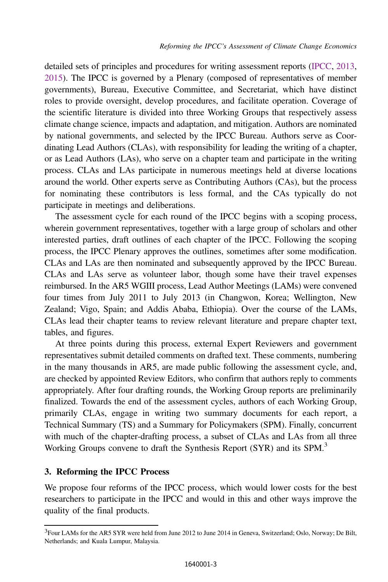detailed sets of principles and procedures for writing assessment reports [\(IPCC](#page-15-0), [2013](#page-15-0), [2015](#page-15-0)). The IPCC is governed by a Plenary (composed of representatives of member governments), Bureau, Executive Committee, and Secretariat, which have distinct roles to provide oversight, develop procedures, and facilitate operation. Coverage of the scientific literature is divided into three Working Groups that respectively assess climate change science, impacts and adaptation, and mitigation. Authors are nominated by national governments, and selected by the IPCC Bureau. Authors serve as Coordinating Lead Authors (CLAs), with responsibility for leading the writing of a chapter, or as Lead Authors (LAs), who serve on a chapter team and participate in the writing process. CLAs and LAs participate in numerous meetings held at diverse locations around the world. Other experts serve as Contributing Authors (CAs), but the process for nominating these contributors is less formal, and the CAs typically do not participate in meetings and deliberations.

The assessment cycle for each round of the IPCC begins with a scoping process, wherein government representatives, together with a large group of scholars and other interested parties, draft outlines of each chapter of the IPCC. Following the scoping process, the IPCC Plenary approves the outlines, sometimes after some modification. CLAs and LAs are then nominated and subsequently approved by the IPCC Bureau. CLAs and LAs serve as volunteer labor, though some have their travel expenses reimbursed. In the AR5 WGIII process, Lead Author Meetings (LAMs) were convened four times from July 2011 to July 2013 (in Changwon, Korea; Wellington, New Zealand; Vigo, Spain; and Addis Ababa, Ethiopia). Over the course of the LAMs, CLAs lead their chapter teams to review relevant literature and prepare chapter text, tables, and figures.

At three points during this process, external Expert Reviewers and government representatives submit detailed comments on drafted text. These comments, numbering in the many thousands in AR5, are made public following the assessment cycle, and, are checked by appointed Review Editors, who confirm that authors reply to comments appropriately. After four drafting rounds, the Working Group reports are preliminarily finalized. Towards the end of the assessment cycles, authors of each Working Group, primarily CLAs, engage in writing two summary documents for each report, a Technical Summary (TS) and a Summary for Policymakers (SPM). Finally, concurrent with much of the chapter-drafting process, a subset of CLAs and LAs from all three Working Groups convene to draft the Synthesis Report (SYR) and its SPM.<sup>3</sup>

### 3. Reforming the IPCC Process

We propose four reforms of the IPCC process, which would lower costs for the best researchers to participate in the IPCC and would in this and other ways improve the quality of the final products.

<sup>3</sup>Four LAMs for the AR5 SYR were held from June 2012 to June 2014 in Geneva, Switzerland; Oslo, Norway; De Bilt, Netherlands; and Kuala Lumpur, Malaysia.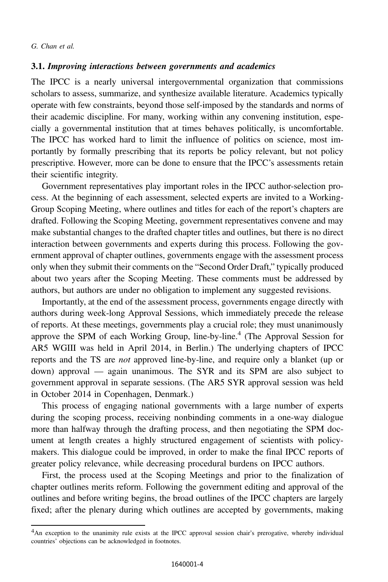### 3.1. Improving interactions between governments and academics

The IPCC is a nearly universal intergovernmental organization that commissions scholars to assess, summarize, and synthesize available literature. Academics typically operate with few constraints, beyond those self-imposed by the standards and norms of their academic discipline. For many, working within any convening institution, especially a governmental institution that at times behaves politically, is uncomfortable. The IPCC has worked hard to limit the influence of politics on science, most importantly by formally prescribing that its reports be policy relevant, but not policy prescriptive. However, more can be done to ensure that the IPCC's assessments retain their scientific integrity.

Government representatives play important roles in the IPCC author-selection process. At the beginning of each assessment, selected experts are invited to a Working-Group Scoping Meeting, where outlines and titles for each of the report's chapters are drafted. Following the Scoping Meeting, government representatives convene and may make substantial changes to the drafted chapter titles and outlines, but there is no direct interaction between governments and experts during this process. Following the government approval of chapter outlines, governments engage with the assessment process only when they submit their comments on the "Second Order Draft," typically produced about two years after the Scoping Meeting. These comments must be addressed by authors, but authors are under no obligation to implement any suggested revisions.

Importantly, at the end of the assessment process, governments engage directly with authors during week-long Approval Sessions, which immediately precede the release of reports. At these meetings, governments play a crucial role; they must unanimously approve the SPM of each Working Group, line-by-line.<sup>4</sup> (The Approval Session for AR5 WGIII was held in April 2014, in Berlin.) The underlying chapters of IPCC reports and the TS are not approved line-by-line, and require only a blanket (up or down) approval — again unanimous. The SYR and its SPM are also subject to government approval in separate sessions. (The AR5 SYR approval session was held in October 2014 in Copenhagen, Denmark.)

This process of engaging national governments with a large number of experts during the scoping process, receiving nonbinding comments in a one-way dialogue more than halfway through the drafting process, and then negotiating the SPM document at length creates a highly structured engagement of scientists with policymakers. This dialogue could be improved, in order to make the final IPCC reports of greater policy relevance, while decreasing procedural burdens on IPCC authors.

First, the process used at the Scoping Meetings and prior to the finalization of chapter outlines merits reform. Following the government editing and approval of the outlines and before writing begins, the broad outlines of the IPCC chapters are largely fixed; after the plenary during which outlines are accepted by governments, making

<sup>4</sup>An exception to the unanimity rule exists at the IPCC approval session chair's prerogative, whereby individual countries' objections can be acknowledged in footnotes.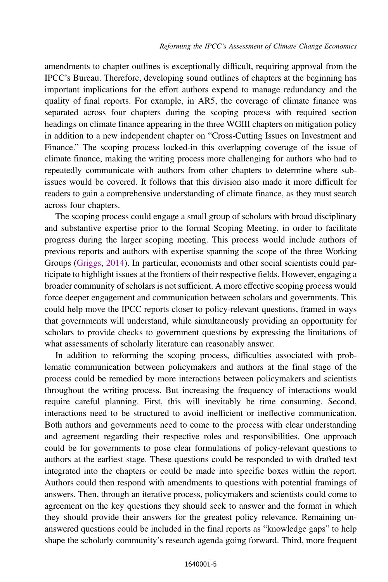amendments to chapter outlines is exceptionally difficult, requiring approval from the IPCC's Bureau. Therefore, developing sound outlines of chapters at the beginning has important implications for the effort authors expend to manage redundancy and the quality of final reports. For example, in AR5, the coverage of climate finance was separated across four chapters during the scoping process with required section headings on climate finance appearing in the three WGIII chapters on mitigation policy in addition to a new independent chapter on "Cross-Cutting Issues on Investment and Finance." The scoping process locked-in this overlapping coverage of the issue of climate finance, making the writing process more challenging for authors who had to repeatedly communicate with authors from other chapters to determine where subissues would be covered. It follows that this division also made it more difficult for readers to gain a comprehensive understanding of climate finance, as they must search across four chapters.

The scoping process could engage a small group of scholars with broad disciplinary and substantive expertise prior to the formal Scoping Meeting, in order to facilitate progress during the larger scoping meeting. This process would include authors of previous reports and authors with expertise spanning the scope of the three Working Groups ([Griggs](#page-15-0), [2014](#page-15-0)). In particular, economists and other social scientists could participate to highlight issues at the frontiers of their respective fields. However, engaging a broader community of scholars is not sufficient. A more effective scoping process would force deeper engagement and communication between scholars and governments. This could help move the IPCC reports closer to policy-relevant questions, framed in ways that governments will understand, while simultaneously providing an opportunity for scholars to provide checks to government questions by expressing the limitations of what assessments of scholarly literature can reasonably answer.

In addition to reforming the scoping process, difficulties associated with problematic communication between policymakers and authors at the final stage of the process could be remedied by more interactions between policymakers and scientists throughout the writing process. But increasing the frequency of interactions would require careful planning. First, this will inevitably be time consuming. Second, interactions need to be structured to avoid inefficient or ineffective communication. Both authors and governments need to come to the process with clear understanding and agreement regarding their respective roles and responsibilities. One approach could be for governments to pose clear formulations of policy-relevant questions to authors at the earliest stage. These questions could be responded to with drafted text integrated into the chapters or could be made into specific boxes within the report. Authors could then respond with amendments to questions with potential framings of answers. Then, through an iterative process, policymakers and scientists could come to agreement on the key questions they should seek to answer and the format in which they should provide their answers for the greatest policy relevance. Remaining unanswered questions could be included in the final reports as "knowledge gaps" to help shape the scholarly community's research agenda going forward. Third, more frequent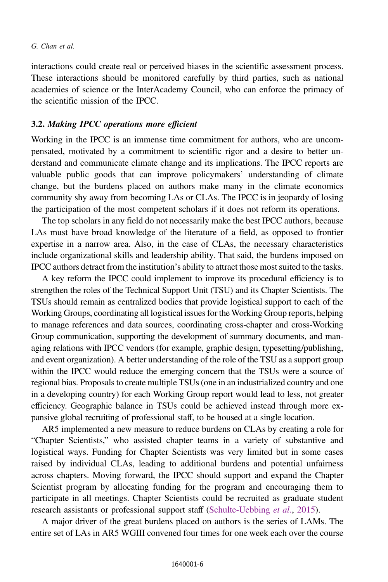#### G. Chan et al.

interactions could create real or perceived biases in the scientific assessment process. These interactions should be monitored carefully by third parties, such as national academies of science or the InterAcademy Council, who can enforce the primacy of the scientific mission of the IPCC.

### 3.2. Making IPCC operations more efficient

Working in the IPCC is an immense time commitment for authors, who are uncompensated, motivated by a commitment to scientific rigor and a desire to better understand and communicate climate change and its implications. The IPCC reports are valuable public goods that can improve policymakers' understanding of climate change, but the burdens placed on authors make many in the climate economics community shy away from becoming LAs or CLAs. The IPCC is in jeopardy of losing the participation of the most competent scholars if it does not reform its operations.

The top scholars in any field do not necessarily make the best IPCC authors, because LAs must have broad knowledge of the literature of a field, as opposed to frontier expertise in a narrow area. Also, in the case of CLAs, the necessary characteristics include organizational skills and leadership ability. That said, the burdens imposed on IPCC authors detract from the institution's ability to attract those most suited to the tasks.

A key reform the IPCC could implement to improve its procedural efficiency is to strengthen the roles of the Technical Support Unit (TSU) and its Chapter Scientists. The TSUs should remain as centralized bodies that provide logistical support to each of the Working Groups, coordinating all logistical issues for the Working Group reports, helping to manage references and data sources, coordinating cross-chapter and cross-Working Group communication, supporting the development of summary documents, and managing relations with IPCC vendors (for example, graphic design, typesetting/publishing, and event organization). A better understanding of the role of the TSU as a support group within the IPCC would reduce the emerging concern that the TSUs were a source of regional bias. Proposals to create multiple TSUs (one in an industrialized country and one in a developing country) for each Working Group report would lead to less, not greater efficiency. Geographic balance in TSUs could be achieved instead through more expansive global recruiting of professional staff, to be housed at a single location.

AR5 implemented a new measure to reduce burdens on CLAs by creating a role for "Chapter Scientists," who assisted chapter teams in a variety of substantive and logistical ways. Funding for Chapter Scientists was very limited but in some cases raised by individual CLAs, leading to additional burdens and potential unfairness across chapters. Moving forward, the IPCC should support and expand the Chapter Scientist program by allocating funding for the program and encouraging them to participate in all meetings. Chapter Scientists could be recruited as graduate student research assistants or professional support staff [\(Schulte-Uebbing](#page-15-0) et al., [2015](#page-15-0)).

A major driver of the great burdens placed on authors is the series of LAMs. The entire set of LAs in AR5 WGIII convened four times for one week each over the course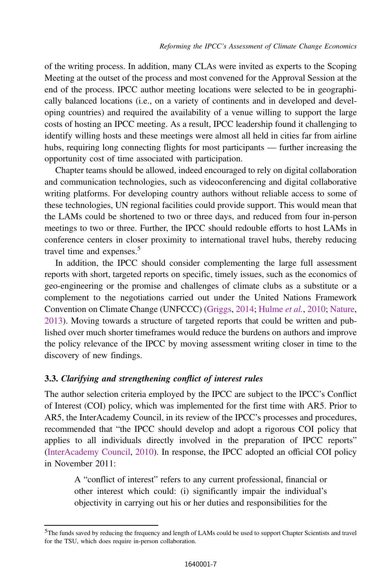of the writing process. In addition, many CLAs were invited as experts to the Scoping Meeting at the outset of the process and most convened for the Approval Session at the end of the process. IPCC author meeting locations were selected to be in geographically balanced locations (i.e., on a variety of continents and in developed and developing countries) and required the availability of a venue willing to support the large costs of hosting an IPCC meeting. As a result, IPCC leadership found it challenging to identify willing hosts and these meetings were almost all held in cities far from airline hubs, requiring long connecting flights for most participants — further increasing the opportunity cost of time associated with participation.

Chapter teams should be allowed, indeed encouraged to rely on digital collaboration and communication technologies, such as videoconferencing and digital collaborative writing platforms. For developing country authors without reliable access to some of these technologies, UN regional facilities could provide support. This would mean that the LAMs could be shortened to two or three days, and reduced from four in-person meetings to two or three. Further, the IPCC should redouble efforts to host LAMs in conference centers in closer proximity to international travel hubs, thereby reducing travel time and expenses.<sup>5</sup>

In addition, the IPCC should consider complementing the large full assessment reports with short, targeted reports on specific, timely issues, such as the economics of geo-engineering or the promise and challenges of climate clubs as a substitute or a complement to the negotiations carried out under the United Nations Framework Convention on Climate Change (UNFCCC) [\(Griggs](#page-15-0), [2014](#page-15-0); [Hulme](#page-15-0) et al., [2010](#page-15-0); [Nature](#page-15-0), [2013](#page-15-0)). Moving towards a structure of targeted reports that could be written and published over much shorter timeframes would reduce the burdens on authors and improve the policy relevance of the IPCC by moving assessment writing closer in time to the discovery of new findings.

# 3.3. Clarifying and strengthening conflict of interest rules

The author selection criteria employed by the IPCC are subject to the IPCC's Conflict of Interest (COI) policy, which was implemented for the first time with AR5. Prior to AR5, the InterAcademy Council, in its review of the IPCC's processes and procedures, recommended that "the IPCC should develop and adopt a rigorous COI policy that applies to all individuals directly involved in the preparation of IPCC reports" [\(InterAcademy Council](#page-15-0), [2010](#page-15-0)). In response, the IPCC adopted an official COI policy in November 2011:

A "conflict of interest" refers to any current professional, financial or other interest which could: (i) significantly impair the individual's objectivity in carrying out his or her duties and responsibilities for the

<sup>5</sup>The funds saved by reducing the frequency and length of LAMs could be used to support Chapter Scientists and travel for the TSU, which does require in-person collaboration.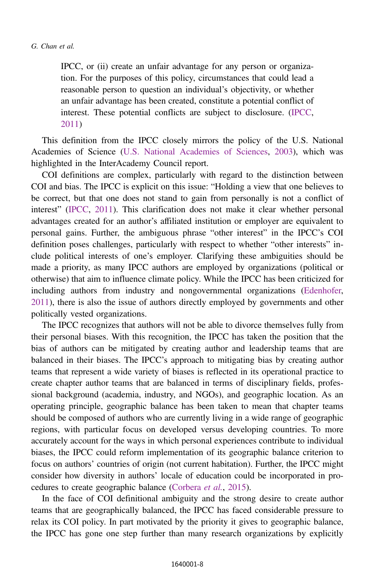IPCC, or (ii) create an unfair advantage for any person or organization. For the purposes of this policy, circumstances that could lead a reasonable person to question an individual's objectivity, or whether an unfair advantage has been created, constitute a potential conflict of interest. These potential conflicts are subject to disclosure. [\(IPCC,](#page-15-0) [2011](#page-15-0))

This definition from the IPCC closely mirrors the policy of the U.S. National Academies of Science ([U.S. National Academies of Sciences,](#page-15-0) [2003](#page-15-0)), which was highlighted in the InterAcademy Council report.

COI definitions are complex, particularly with regard to the distinction between COI and bias. The IPCC is explicit on this issue: "Holding a view that one believes to be correct, but that one does not stand to gain from personally is not a conflict of interest" ([IPCC,](#page-15-0) [2011](#page-15-0)). This clarification does not make it clear whether personal advantages created for an author's affiliated institution or employer are equivalent to personal gains. Further, the ambiguous phrase "other interest" in the IPCC's COI definition poses challenges, particularly with respect to whether "other interests" include political interests of one's employer. Clarifying these ambiguities should be made a priority, as many IPCC authors are employed by organizations (political or otherwise) that aim to influence climate policy. While the IPCC has been criticized for including authors from industry and nongovernmental organizations ([Edenhofer,](#page-14-0) [2011\)](#page-14-0), there is also the issue of authors directly employed by governments and other politically vested organizations.

The IPCC recognizes that authors will not be able to divorce themselves fully from their personal biases. With this recognition, the IPCC has taken the position that the bias of authors can be mitigated by creating author and leadership teams that are balanced in their biases. The IPCC's approach to mitigating bias by creating author teams that represent a wide variety of biases is reflected in its operational practice to create chapter author teams that are balanced in terms of disciplinary fields, professional background (academia, industry, and NGOs), and geographic location. As an operating principle, geographic balance has been taken to mean that chapter teams should be composed of authors who are currently living in a wide range of geographic regions, with particular focus on developed versus developing countries. To more accurately account for the ways in which personal experiences contribute to individual biases, the IPCC could reform implementation of its geographic balance criterion to focus on authors' countries of origin (not current habitation). Further, the IPCC might consider how diversity in authors' locale of education could be incorporated in procedures to create geographic balance ([Corbera](#page-14-0) et al., [2015\)](#page-14-0).

In the face of COI definitional ambiguity and the strong desire to create author teams that are geographically balanced, the IPCC has faced considerable pressure to relax its COI policy. In part motivated by the priority it gives to geographic balance, the IPCC has gone one step further than many research organizations by explicitly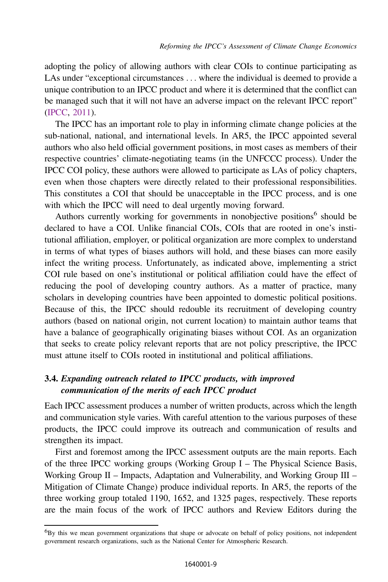adopting the policy of allowing authors with clear COIs to continue participating as LAs under "exceptional circumstances ... where the individual is deemed to provide a unique contribution to an IPCC product and where it is determined that the conflict can be managed such that it will not have an adverse impact on the relevant IPCC report" [\(IPCC,](#page-15-0) [2011](#page-15-0)).

The IPCC has an important role to play in informing climate change policies at the sub-national, national, and international levels. In AR5, the IPCC appointed several authors who also held official government positions, in most cases as members of their respective countries' climate-negotiating teams (in the UNFCCC process). Under the IPCC COI policy, these authors were allowed to participate as LAs of policy chapters, even when those chapters were directly related to their professional responsibilities. This constitutes a COI that should be unacceptable in the IPCC process, and is one with which the IPCC will need to deal urgently moving forward.

Authors currently working for governments in nonobjective positions<sup>6</sup> should be declared to have a COI. Unlike financial COIs, COIs that are rooted in one's institutional affiliation, employer, or political organization are more complex to understand in terms of what types of biases authors will hold, and these biases can more easily infect the writing process. Unfortunately, as indicated above, implementing a strict COI rule based on one's institutional or political affiliation could have the effect of reducing the pool of developing country authors. As a matter of practice, many scholars in developing countries have been appointed to domestic political positions. Because of this, the IPCC should redouble its recruitment of developing country authors (based on national origin, not current location) to maintain author teams that have a balance of geographically originating biases without COI. As an organization that seeks to create policy relevant reports that are not policy prescriptive, the IPCC must attune itself to COIs rooted in institutional and political affiliations.

# 3.4. Expanding outreach related to IPCC products, with improved communication of the merits of each IPCC product

Each IPCC assessment produces a number of written products, across which the length and communication style varies. With careful attention to the various purposes of these products, the IPCC could improve its outreach and communication of results and strengthen its impact.

First and foremost among the IPCC assessment outputs are the main reports. Each of the three IPCC working groups (Working Group I – The Physical Science Basis, Working Group II – Impacts, Adaptation and Vulnerability, and Working Group III – Mitigation of Climate Change) produce individual reports. In AR5, the reports of the three working group totaled 1190, 1652, and 1325 pages, respectively. These reports are the main focus of the work of IPCC authors and Review Editors during the

<sup>6</sup>By this we mean government organizations that shape or advocate on behalf of policy positions, not independent government research organizations, such as the National Center for Atmospheric Research.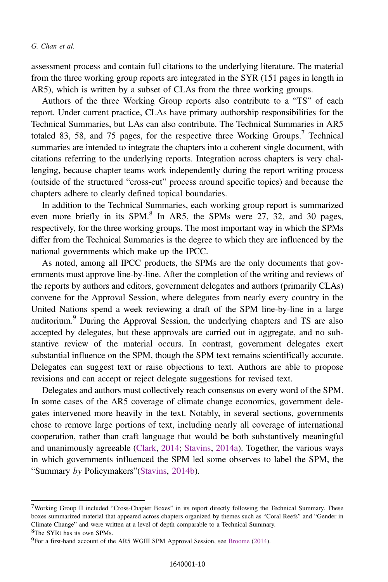assessment process and contain full citations to the underlying literature. The material from the three working group reports are integrated in the SYR (151 pages in length in AR5), which is written by a subset of CLAs from the three working groups.

Authors of the three Working Group reports also contribute to a "TS" of each report. Under current practice, CLAs have primary authorship responsibilities for the Technical Summaries, but LAs can also contribute. The Technical Summaries in AR5 totaled 83, 58, and 75 pages, for the respective three Working Groups.7 Technical summaries are intended to integrate the chapters into a coherent single document, with citations referring to the underlying reports. Integration across chapters is very challenging, because chapter teams work independently during the report writing process (outside of the structured "cross-cut" process around specific topics) and because the chapters adhere to clearly defined topical boundaries.

In addition to the Technical Summaries, each working group report is summarized even more briefly in its SPM.<sup>8</sup> In AR5, the SPMs were 27, 32, and 30 pages, respectively, for the three working groups. The most important way in which the SPMs differ from the Technical Summaries is the degree to which they are influenced by the national governments which make up the IPCC.

As noted, among all IPCC products, the SPMs are the only documents that governments must approve line-by-line. After the completion of the writing and reviews of the reports by authors and editors, government delegates and authors (primarily CLAs) convene for the Approval Session, where delegates from nearly every country in the United Nations spend a week reviewing a draft of the SPM line-by-line in a large auditorium.<sup>9</sup> During the Approval Session, the underlying chapters and TS are also accepted by delegates, but these approvals are carried out in aggregate, and no substantive review of the material occurs. In contrast, government delegates exert substantial influence on the SPM, though the SPM text remains scientifically accurate. Delegates can suggest text or raise objections to text. Authors are able to propose revisions and can accept or reject delegate suggestions for revised text.

Delegates and authors must collectively reach consensus on every word of the SPM. In some cases of the AR5 coverage of climate change economics, government delegates intervened more heavily in the text. Notably, in several sections, governments chose to remove large portions of text, including nearly all coverage of international cooperation, rather than craft language that would be both substantively meaningful and unanimously agreeable [\(Clark](#page-14-0), [2014](#page-14-0); [Stavins](#page-15-0), [2014a](#page-15-0)). Together, the various ways in which governments influenced the SPM led some observes to label the SPM, the "Summary by Policymakers"[\(Stavins](#page-15-0), [2014b\)](#page-15-0).

<sup>7</sup>Working Group II included "Cross-Chapter Boxes" in its report directly following the Technical Summary. These boxes summarized material that appeared across chapters organized by themes such as "Coral Reefs" and "Gender in Climate Change" and were written at a level of depth comparable to a Technical Summary.

<sup>8</sup>The SYRt has its own SPMs.

<sup>&</sup>lt;sup>9</sup>For a first-hand account of the AR5 WGIII SPM Approval Session, see [Broome](#page-14-0) [\(2014](#page-14-0)).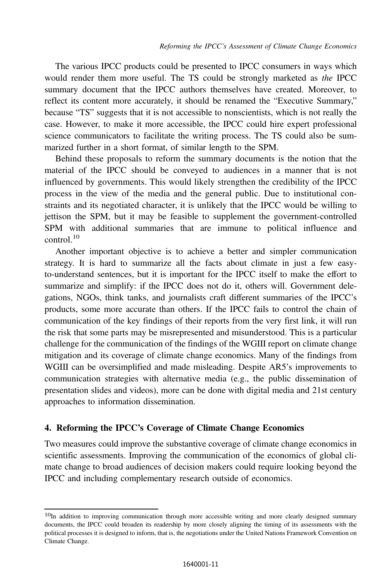The various IPCC products could be presented to IPCC consumers in ways which would render them more useful. The TS could be strongly marketed as the IPCC summary document that the IPCC authors themselves have created. Moreover, to reflect its content more accurately, it should be renamed the "Executive Summary," because "TS" suggests that it is not accessible to nonscientists, which is not really the case. However, to make it more accessible, the IPCC could hire expert professional science communicators to facilitate the writing process. The TS could also be summarized further in a short format, of similar length to the SPM.

Behind these proposals to reform the summary documents is the notion that the material of the IPCC should be conveyed to audiences in a manner that is not influenced by governments. This would likely strengthen the credibility of the IPCC process in the view of the media and the general public. Due to institutional constraints and its negotiated character, it is unlikely that the IPCC would be willing to jettison the SPM, but it may be feasible to supplement the government-controlled SPM with additional summaries that are immune to political influence and control $10$ 

Another important objective is to achieve a better and simpler communication strategy. It is hard to summarize all the facts about climate in just a few easyto-understand sentences, but it is important for the IPCC itself to make the effort to summarize and simplify: if the IPCC does not do it, others will. Government delegations, NGOs, think tanks, and journalists craft different summaries of the IPCC's products, some more accurate than others. If the IPCC fails to control the chain of communication of the key findings of their reports from the very first link, it will run the risk that some parts may be misrepresented and misunderstood. This is a particular challenge for the communication of the findings of the WGIII report on climate change mitigation and its coverage of climate change economics. Many of the findings from WGIII can be oversimplified and made misleading. Despite AR5's improvements to communication strategies with alternative media (e.g., the public dissemination of presentation slides and videos), more can be done with digital media and 21st century approaches to information dissemination.

# 4. Reforming the IPCC's Coverage of Climate Change Economics

Two measures could improve the substantive coverage of climate change economics in scientific assessments. Improving the communication of the economics of global climate change to broad audiences of decision makers could require looking beyond the IPCC and including complementary research outside of economics.

 $10$ In addition to improving communication through more accessible writing and more clearly designed summary documents, the IPCC could broaden its readership by more closely aligning the timing of its assessments with the political processes it is designed to inform, that is, the negotiations under the United Nations Framework Convention on Climate Change.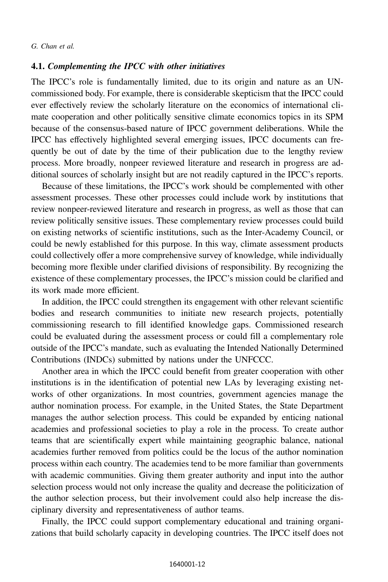### 4.1. Complementing the IPCC with other initiatives

The IPCC's role is fundamentally limited, due to its origin and nature as an UNcommissioned body. For example, there is considerable skepticism that the IPCC could ever effectively review the scholarly literature on the economics of international climate cooperation and other politically sensitive climate economics topics in its SPM because of the consensus-based nature of IPCC government deliberations. While the IPCC has effectively highlighted several emerging issues, IPCC documents can frequently be out of date by the time of their publication due to the lengthy review process. More broadly, nonpeer reviewed literature and research in progress are additional sources of scholarly insight but are not readily captured in the IPCC's reports.

Because of these limitations, the IPCC's work should be complemented with other assessment processes. These other processes could include work by institutions that review nonpeer-reviewed literature and research in progress, as well as those that can review politically sensitive issues. These complementary review processes could build on existing networks of scientific institutions, such as the Inter-Academy Council, or could be newly established for this purpose. In this way, climate assessment products could collectively offer a more comprehensive survey of knowledge, while individually becoming more flexible under clarified divisions of responsibility. By recognizing the existence of these complementary processes, the IPCC's mission could be clarified and its work made more efficient.

In addition, the IPCC could strengthen its engagement with other relevant scientific bodies and research communities to initiate new research projects, potentially commissioning research to fill identified knowledge gaps. Commissioned research could be evaluated during the assessment process or could fill a complementary role outside of the IPCC's mandate, such as evaluating the Intended Nationally Determined Contributions (INDCs) submitted by nations under the UNFCCC.

Another area in which the IPCC could benefit from greater cooperation with other institutions is in the identification of potential new LAs by leveraging existing networks of other organizations. In most countries, government agencies manage the author nomination process. For example, in the United States, the State Department manages the author selection process. This could be expanded by enticing national academies and professional societies to play a role in the process. To create author teams that are scientifically expert while maintaining geographic balance, national academies further removed from politics could be the locus of the author nomination process within each country. The academies tend to be more familiar than governments with academic communities. Giving them greater authority and input into the author selection process would not only increase the quality and decrease the politicization of the author selection process, but their involvement could also help increase the disciplinary diversity and representativeness of author teams.

Finally, the IPCC could support complementary educational and training organizations that build scholarly capacity in developing countries. The IPCC itself does not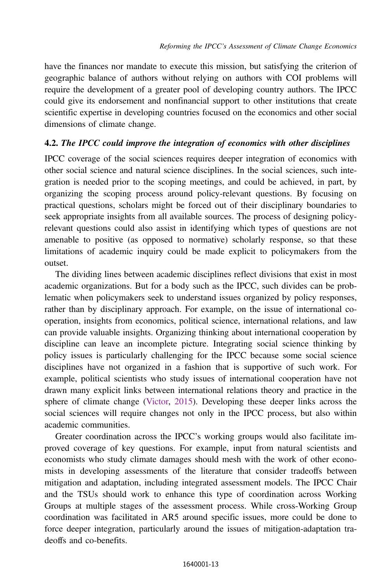have the finances nor mandate to execute this mission, but satisfying the criterion of geographic balance of authors without relying on authors with COI problems will require the development of a greater pool of developing country authors. The IPCC could give its endorsement and nonfinancial support to other institutions that create scientific expertise in developing countries focused on the economics and other social dimensions of climate change.

## 4.2. The IPCC could improve the integration of economics with other disciplines

IPCC coverage of the social sciences requires deeper integration of economics with other social science and natural science disciplines. In the social sciences, such integration is needed prior to the scoping meetings, and could be achieved, in part, by organizing the scoping process around policy-relevant questions. By focusing on practical questions, scholars might be forced out of their disciplinary boundaries to seek appropriate insights from all available sources. The process of designing policyrelevant questions could also assist in identifying which types of questions are not amenable to positive (as opposed to normative) scholarly response, so that these limitations of academic inquiry could be made explicit to policymakers from the outset.

The dividing lines between academic disciplines reflect divisions that exist in most academic organizations. But for a body such as the IPCC, such divides can be problematic when policymakers seek to understand issues organized by policy responses, rather than by disciplinary approach. For example, on the issue of international cooperation, insights from economics, political science, international relations, and law can provide valuable insights. Organizing thinking about international cooperation by discipline can leave an incomplete picture. Integrating social science thinking by policy issues is particularly challenging for the IPCC because some social science disciplines have not organized in a fashion that is supportive of such work. For example, political scientists who study issues of international cooperation have not drawn many explicit links between international relations theory and practice in the sphere of climate change [\(Victor](#page-15-0), [2015](#page-15-0)). Developing these deeper links across the social sciences will require changes not only in the IPCC process, but also within academic communities.

Greater coordination across the IPCC's working groups would also facilitate improved coverage of key questions. For example, input from natural scientists and economists who study climate damages should mesh with the work of other economists in developing assessments of the literature that consider tradeoffs between mitigation and adaptation, including integrated assessment models. The IPCC Chair and the TSUs should work to enhance this type of coordination across Working Groups at multiple stages of the assessment process. While cross-Working Group coordination was facilitated in AR5 around specific issues, more could be done to force deeper integration, particularly around the issues of mitigation-adaptation tradeoffs and co-benefits.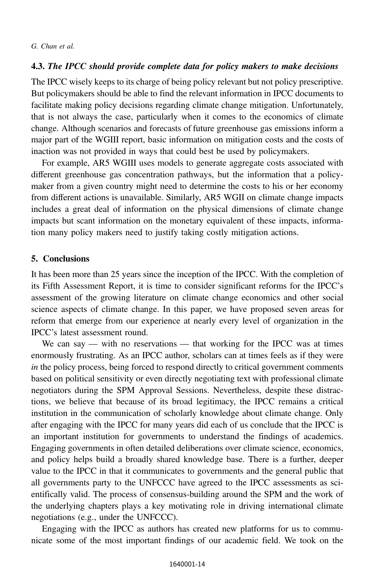### 4.3. The IPCC should provide complete data for policy makers to make decisions

The IPCC wisely keeps to its charge of being policy relevant but not policy prescriptive. But policymakers should be able to find the relevant information in IPCC documents to facilitate making policy decisions regarding climate change mitigation. Unfortunately, that is not always the case, particularly when it comes to the economics of climate change. Although scenarios and forecasts of future greenhouse gas emissions inform a major part of the WGIII report, basic information on mitigation costs and the costs of inaction was not provided in ways that could best be used by policymakers.

For example, AR5 WGIII uses models to generate aggregate costs associated with different greenhouse gas concentration pathways, but the information that a policymaker from a given country might need to determine the costs to his or her economy from different actions is unavailable. Similarly, AR5 WGII on climate change impacts includes a great deal of information on the physical dimensions of climate change impacts but scant information on the monetary equivalent of these impacts, information many policy makers need to justify taking costly mitigation actions.

# 5. Conclusions

It has been more than 25 years since the inception of the IPCC. With the completion of its Fifth Assessment Report, it is time to consider significant reforms for the IPCC's assessment of the growing literature on climate change economics and other social science aspects of climate change. In this paper, we have proposed seven areas for reform that emerge from our experience at nearly every level of organization in the IPCC's latest assessment round.

We can say — with no reservations — that working for the IPCC was at times enormously frustrating. As an IPCC author, scholars can at times feels as if they were in the policy process, being forced to respond directly to critical government comments based on political sensitivity or even directly negotiating text with professional climate negotiators during the SPM Approval Sessions. Nevertheless, despite these distractions, we believe that because of its broad legitimacy, the IPCC remains a critical institution in the communication of scholarly knowledge about climate change. Only after engaging with the IPCC for many years did each of us conclude that the IPCC is an important institution for governments to understand the findings of academics. Engaging governments in often detailed deliberations over climate science, economics, and policy helps build a broadly shared knowledge base. There is a further, deeper value to the IPCC in that it communicates to governments and the general public that all governments party to the UNFCCC have agreed to the IPCC assessments as scientifically valid. The process of consensus-building around the SPM and the work of the underlying chapters plays a key motivating role in driving international climate negotiations (e.g., under the UNFCCC).

Engaging with the IPCC as authors has created new platforms for us to communicate some of the most important findings of our academic field. We took on the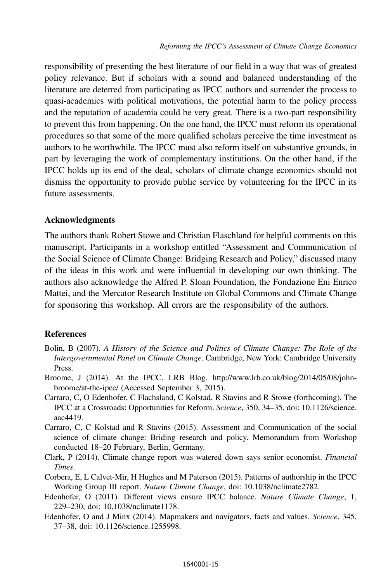<span id="page-14-0"></span>responsibility of presenting the best literature of our field in a way that was of greatest policy relevance. But if scholars with a sound and balanced understanding of the literature are deterred from participating as IPCC authors and surrender the process to quasi-academics with political motivations, the potential harm to the policy process and the reputation of academia could be very great. There is a two-part responsibility to prevent this from happening. On the one hand, the IPCC must reform its operational procedures so that some of the more qualified scholars perceive the time investment as authors to be worthwhile. The IPCC must also reform itself on substantive grounds, in part by leveraging the work of complementary institutions. On the other hand, if the IPCC holds up its end of the deal, scholars of climate change economics should not dismiss the opportunity to provide public service by volunteering for the IPCC in its future assessments.

### Acknowledgments

The authors thank Robert Stowe and Christian Flaschland for helpful comments on this manuscript. Participants in a workshop entitled "Assessment and Communication of the Social Science of Climate Change: Bridging Research and Policy," discussed many of the ideas in this work and were influential in developing our own thinking. The authors also acknowledge the Alfred P. Sloan Foundation, the Fondazione Eni Enrico Mattei, and the Mercator Research Institute on Global Commons and Climate Change for sponsoring this workshop. All errors are the responsibility of the authors.

### References

- Bolin, B (2007). A History of the Science and Politics of Climate Change: The Role of the Intergovernmental Panel on Climate Change. Cambridge, New York: Cambridge University Press.
- Broome, J (2014). At the IPCC. LRB Blog. http://www.lrb.co.uk/blog/2014/05/08/johnbroome/at-the-ipcc/ (Accessed September 3, 2015).
- Carraro, C, O Edenhofer, C Flachsland, C Kolstad, R Stavins and R Stowe (forthcoming). The IPCC at a Crossroads: Opportunities for Reform. Science, 350, 34–35, doi: 10.1126/science. aac4419.
- Carraro, C, C Kolstad and R Stavins (2015). Assessment and Communication of the social science of climate change: Briding research and policy. Memorandum from Workshop conducted 18–20 February, Berlin, Germany.
- Clark, P (2014). Climate change report was watered down says senior economist. Financial Times.
- Corbera, E, L Calvet-Mir, H Hughes and M Paterson (2015). Patterns of authorship in the IPCC Working Group III report. Nature Climate Change, doi: 10.1038/nclimate2782.
- Edenhofer, O (2011). Different views ensure IPCC balance. Nature Climate Change, 1, 229–230, doi: 10.1038/nclimate1178.
- Edenhofer, O and J Minx (2014). Mapmakers and navigators, facts and values. Science, 345, 37–38, doi: 10.1126/science.1255998.